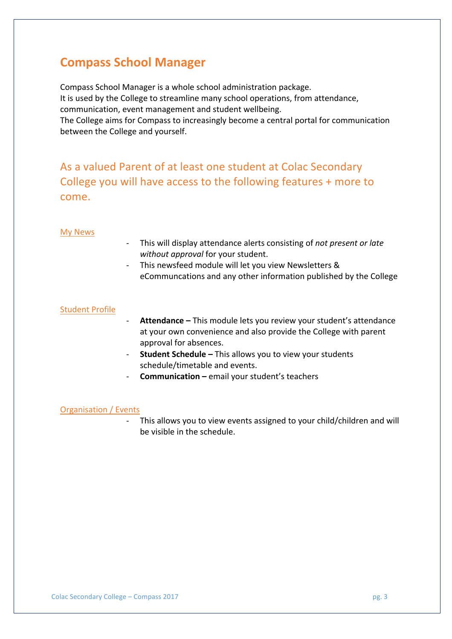# **Compass School Manager**

Compass School Manager is a whole school administration package. It is used by the College to streamline many school operations, from attendance, communication, event management and student wellbeing.

The College aims for Compass to increasingly become a central portal for communication between the College and yourself.

As a valued Parent of at least one student at Colac Secondary College you will have access to the following features + more to come.

### My News

- This will display attendance alerts consisting of *not present or late* without *approval* for your student.
- This newsfeed module will let you view Newsletters & eCommuncations and any other information published by the College

### **Student Profile**

- Attendance This module lets you review your student's attendance at your own convenience and also provide the College with parent approval for absences.
- **Student Schedule –** This allows you to view your students schedule/timetable and events.
- **Communication** email your student's teachers

#### **Organisation** / Events

- This allows you to view events assigned to your child/children and will be visible in the schedule.